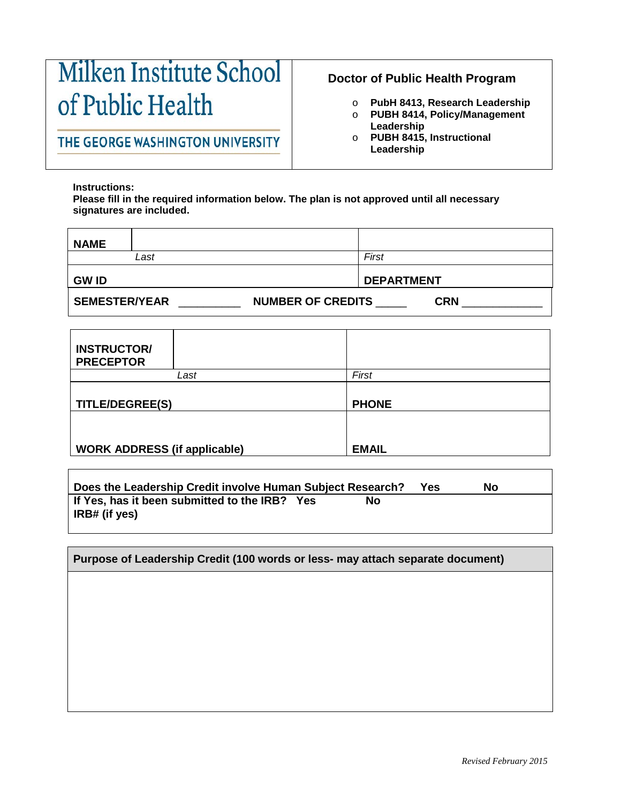## Milken Institute School of Public Health

## THE GEORGE WASHINGTON UNIVERSITY

## **Doctor of Public Health Program**

- o **PubH 8413, Research Leadership**
- o **PUBH 8414, Policy/Management Leadership**
- o **PUBH 8415, Instructional Leadership**

**Instructions:** 

**Please fill in the required information below. The plan is not approved until all necessary signatures are included.** 

| NAME                                                           |                   |  |  |  |
|----------------------------------------------------------------|-------------------|--|--|--|
| Last                                                           | First             |  |  |  |
| <b>GW ID</b>                                                   | <b>DEPARTMENT</b> |  |  |  |
| <b>SEMESTER/YEAR</b><br><b>NUMBER OF CREDITS</b><br><b>CRN</b> |                   |  |  |  |

| <b>INSTRUCTOR/</b><br><b>PRECEPTOR</b> |      |              |
|----------------------------------------|------|--------------|
|                                        | Last | First        |
| <b>TITLE/DEGREE(S)</b>                 |      | <b>PHONE</b> |
|                                        |      |              |
| <b>WORK ADDRESS (if applicable)</b>    |      | <b>EMAIL</b> |

| Does the Leadership Credit involve Human Subject Research?     |    | Yes | No |
|----------------------------------------------------------------|----|-----|----|
| If Yes, has it been submitted to the IRB? Yes<br>IRB# (if yes) | No |     |    |